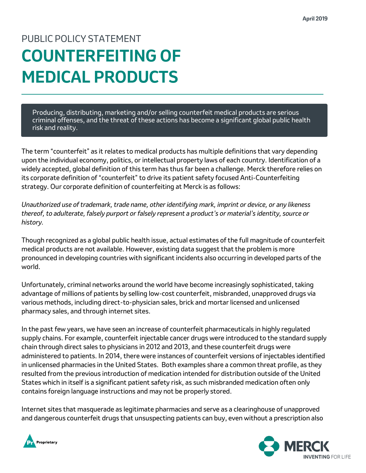## PUBLIC POLICY STATEMENT **COUNTERFEITING OF MEDICAL PRODUCTS**

Producing, distributing, marketing and/or selling counterfeit medical products are serious criminal offenses, and the threat of these actions has become a significant global public health risk and reality.

The term "counterfeit" as it relates to medical products has multiple definitions that vary depending upon the individual economy, politics, or intellectual property laws of each country. Identification of a widely accepted, global definition of this term has thus far been a challenge. Merck therefore relies on its corporate definition of "counterfeit" to drive its patient safety focused Anti-Counterfeiting strategy. Our corporate definition of counterfeiting at Merck is as follows:

*Unauthorized use of trademark, trade name, other identifying mark, imprint or device, or any likeness thereof, to adulterate, falsely purport or falsely represent a product's or material's identity, source or history.* 

Though recognized as a global public health issue, actual estimates of the full magnitude of counterfeit medical products are not available. However, existing data suggest that the problem is more pronounced in developing countries with significant incidents also occurring in developed parts of the world.

Unfortunately, criminal networks around the world have become increasingly sophisticated, taking advantage of millions of patients by selling low-cost counterfeit, misbranded, unapproved drugs via various methods, including direct-to-physician sales, brick and mortar licensed and unlicensed pharmacy sales, and through internet sites.

In the past few years, we have seen an increase of counterfeit pharmaceuticals in highly regulated supply chains. For example, counterfeit injectable cancer drugs were introduced to the standard supply chain through direct sales to physicians in 2012 and 2013, and these counterfeit drugs were administered to patients. In 2014, there were instances of counterfeit versions of injectables identified in unlicensed pharmacies in the United States. Both examples share a common threat profile, as they resulted from the previous introduction of medication intended for distribution outside of the United States which in itself is a significant patient safety risk, as such misbranded medication often only contains foreign language instructions and may not be properly stored.

Internet sites that masquerade as legitimate pharmacies and serve as a clearinghouse of unapproved and dangerous counterfeit drugs that unsuspecting patients can buy, even without a prescription also



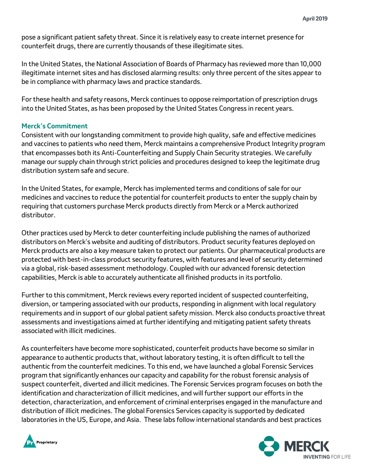pose a significant patient safety threat. Since it is relatively easy to create internet presence for counterfeit drugs, there are currently thousands of these illegitimate sites.

In the United States, the National Association of Boards of Pharmacy has reviewed more than 10,000 illegitimate internet sites and has disclosed alarming results: only three percent of the sites appear to be in compliance with pharmacy laws and practice standards.

For these health and safety reasons, Merck continues to oppose reimportation of prescription drugs into the United States, as has been proposed by the United States Congress in recent years.

## **Merck's Commitment**

Consistent with our longstanding commitment to provide high quality, safe and effective medicines and vaccines to patients who need them, Merck maintains a comprehensive Product Integrity program that encompasses both its Anti-Counterfeiting and Supply Chain Security strategies. We carefully manage our supply chain through strict policies and procedures designed to keep the legitimate drug distribution system safe and secure.

In the United States, for example, Merck has implemented terms and conditions of sale for our medicines and vaccines to reduce the potential for counterfeit products to enter the supply chain by requiring that customers purchase Merck products directly from Merck or a Merck authorized distributor.

Other practices used by Merck to deter counterfeiting include publishing the names of authorized distributors on Merck's website and auditing of distributors. Product security features deployed on Merck products are also a key measure taken to protect our patients. Our pharmaceutical products are protected with best-in-class product security features, with features and level of security determined via a global, risk-based assessment methodology. Coupled with our advanced forensic detection capabilities, Merck is able to accurately authenticate all finished products in its portfolio.

Further to this commitment, Merck reviews every reported incident of suspected counterfeiting, diversion, or tampering associated with our products, responding in alignment with local regulatory requirements and in support of our global patient safety mission. Merck also conducts proactive threat assessments and investigations aimed at further identifying and mitigating patient safety threats associated with illicit medicines.

As counterfeiters have become more sophisticated, counterfeit products have become so similar in appearance to authentic products that, without laboratory testing, it is often difficult to tell the authentic from the counterfeit medicines. To this end, we have launched a global Forensic Services program that significantly enhances our capacity and capability for the robust forensic analysis of suspect counterfeit, diverted and illicit medicines. The Forensic Services program focuses on both the identification and characterization of illicit medicines, and will further support our efforts in the detection, characterization, and enforcement of criminal enterprises engaged in the manufacture and distribution of illicit medicines. The global Forensics Services capacity is supported by dedicated laboratories in the US, Europe, and Asia. These labs follow international standards and best practices